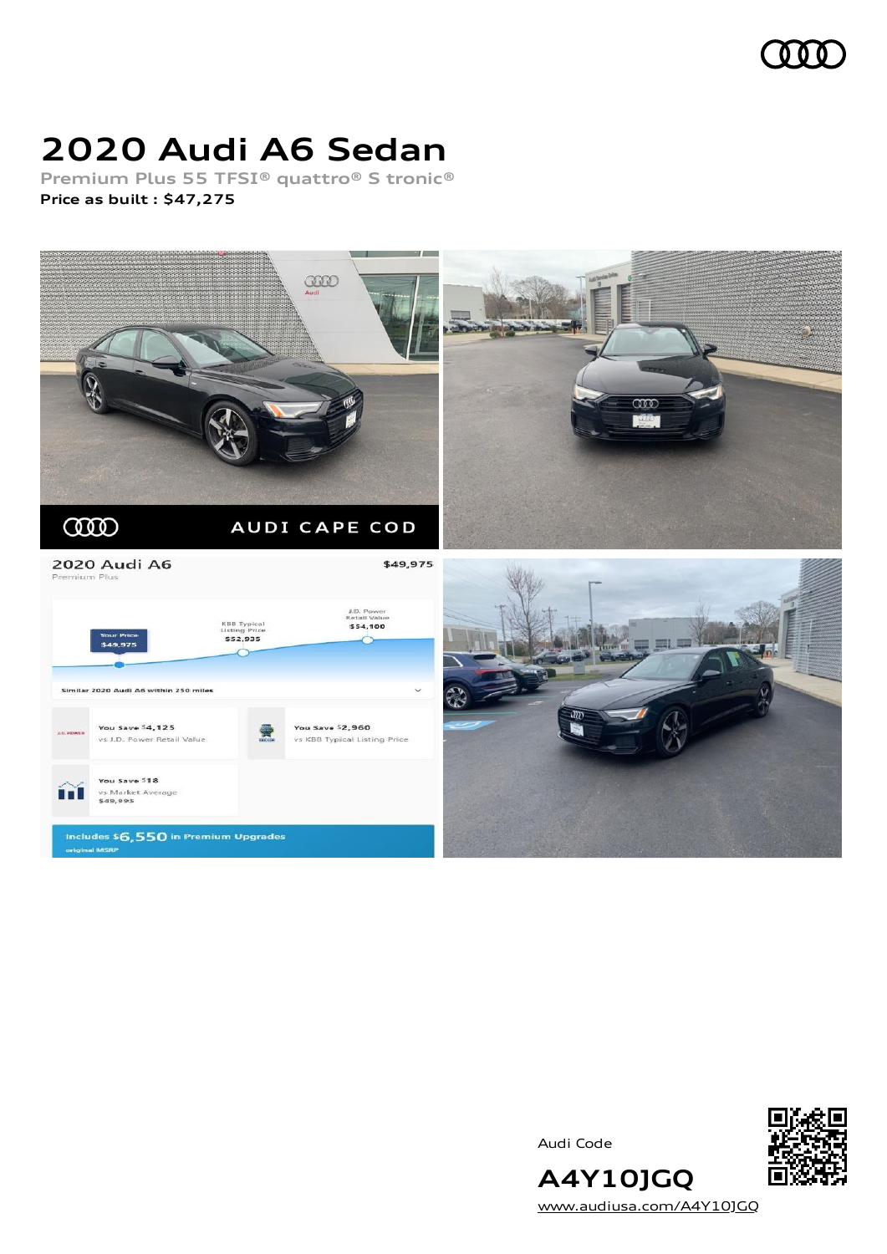

# **2020 Audi A6 Sedan**

**Premium Plus 55 TFSI® quattro® S tronic® Price as built [:](#page-8-0) \$47,275**







**A4Y10JGQ** [www.audiusa.com/A4Y10JGQ](https://www.audiusa.com/A4Y10JGQ)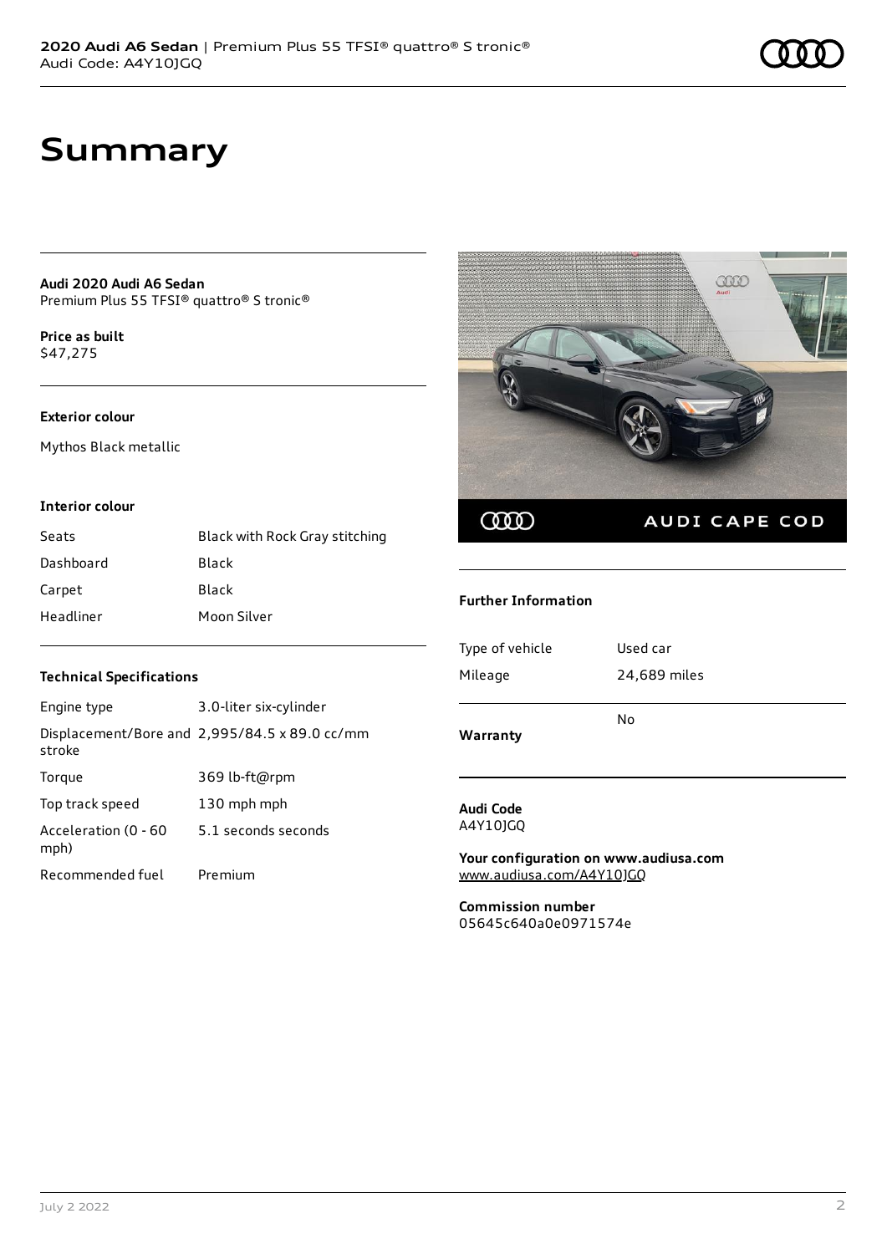### **Summary**

**Audi 2020 Audi A6 Sedan** Premium Plus 55 TFSI® quattro® S tronic®

**Price as buil[t](#page-8-0)** \$47,275

#### **Exterior colour**

Mythos Black metallic

#### **Interior colour**

| Seats     | Black with Rock Gray stitching |
|-----------|--------------------------------|
| Dashboard | Black                          |
| Carpet    | Black                          |
| Headliner | Moon Silver                    |

# COO COO AUDI CAPE COD

#### **Further Information**

| Type of vehicle | Used car     |
|-----------------|--------------|
| Mileage         | 24,689 miles |
|                 | No           |
| Warranty        |              |

#### **Audi Code** A4Y10JGQ

**Your configuration on www.audiusa.com** [www.audiusa.com/A4Y10JGQ](https://www.audiusa.com/A4Y10JGQ)

**Commission number** 05645c640a0e0971574e

#### **Technical Specifications**

| Engine type                  | 3.0-liter six-cylinder                        |
|------------------------------|-----------------------------------------------|
| stroke                       | Displacement/Bore and 2,995/84.5 x 89.0 cc/mm |
| Torque                       | 369 lb-ft@rpm                                 |
| Top track speed              | 130 mph mph                                   |
| Acceleration (0 - 60<br>mph) | 5.1 seconds seconds                           |
| Recommended fuel             | Premium                                       |

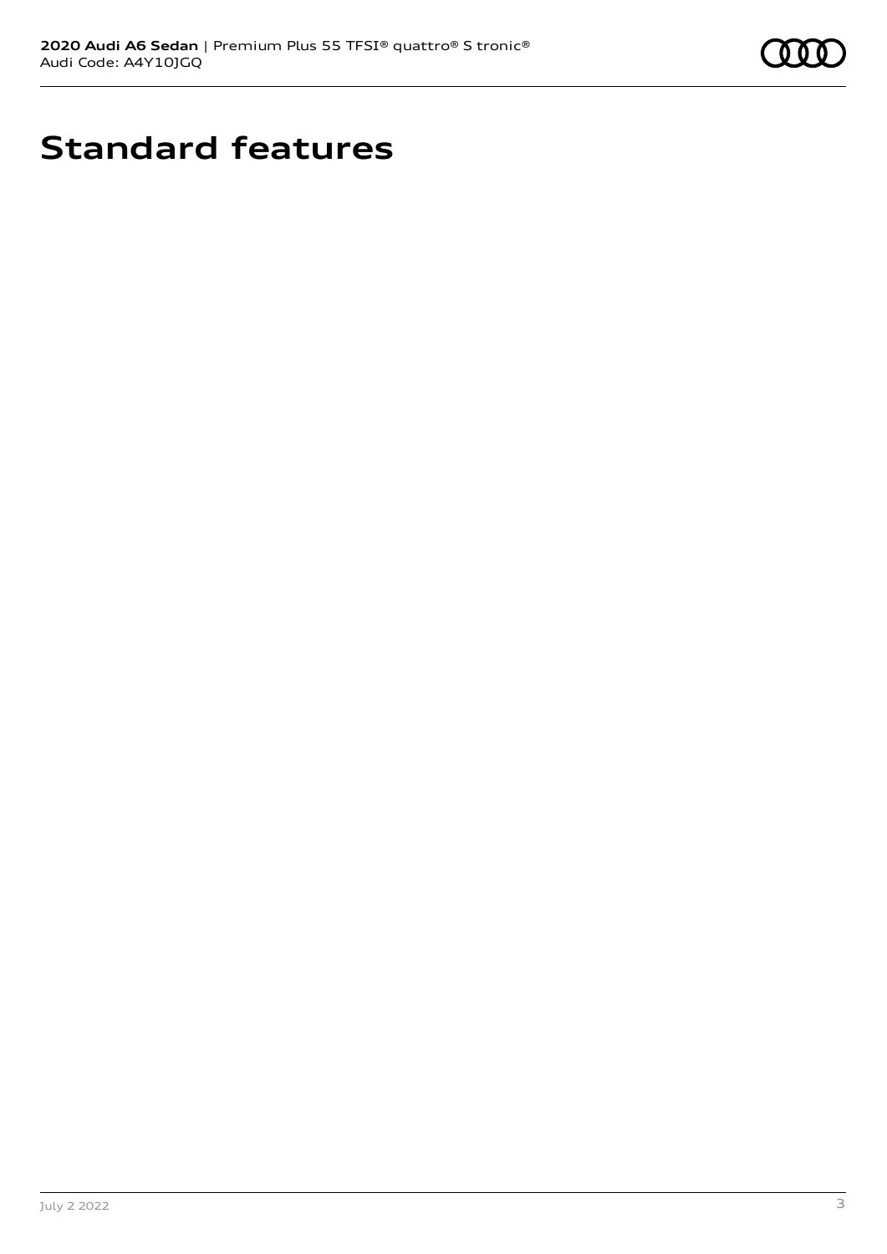

# **Standard features**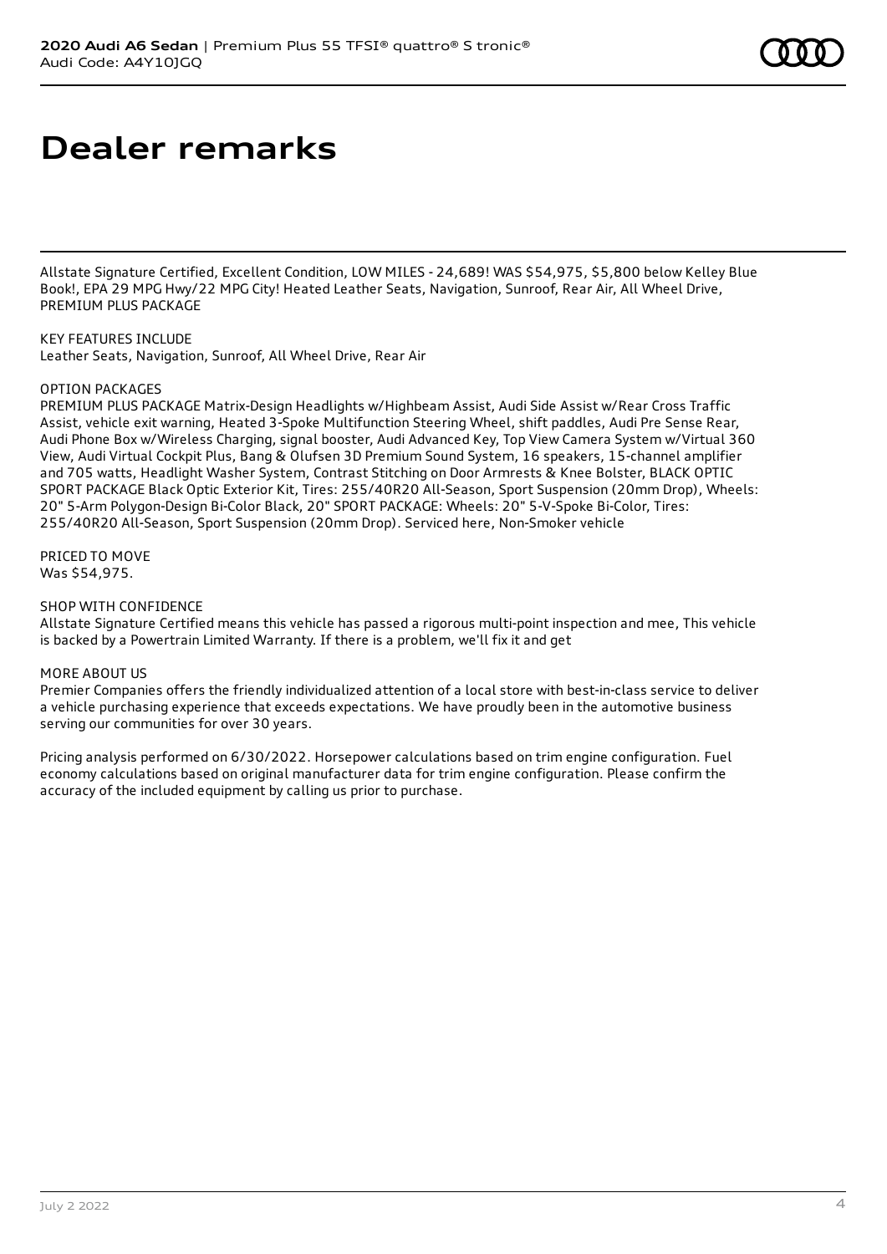# **Dealer remarks**

Allstate Signature Certified, Excellent Condition, LOW MILES - 24,689! WAS \$54,975, \$5,800 below Kelley Blue Book!, EPA 29 MPG Hwy/22 MPG City! Heated Leather Seats, Navigation, Sunroof, Rear Air, All Wheel Drive, PREMIUM PLUS PACKAGE

KEY FEATURES INCLUDE Leather Seats, Navigation, Sunroof, All Wheel Drive, Rear Air

#### OPTION PACKAGES

PREMIUM PLUS PACKAGE Matrix-Design Headlights w/Highbeam Assist, Audi Side Assist w/Rear Cross Traffic Assist, vehicle exit warning, Heated 3-Spoke Multifunction Steering Wheel, shift paddles, Audi Pre Sense Rear, Audi Phone Box w/Wireless Charging, signal booster, Audi Advanced Key, Top View Camera System w/Virtual 360 View, Audi Virtual Cockpit Plus, Bang & Olufsen 3D Premium Sound System, 16 speakers, 15-channel amplifier and 705 watts, Headlight Washer System, Contrast Stitching on Door Armrests & Knee Bolster, BLACK OPTIC SPORT PACKAGE Black Optic Exterior Kit, Tires: 255/40R20 All-Season, Sport Suspension (20mm Drop), Wheels: 20" 5-Arm Polygon-Design Bi-Color Black, 20" SPORT PACKAGE: Wheels: 20" 5-V-Spoke Bi-Color, Tires: 255/40R20 All-Season, Sport Suspension (20mm Drop). Serviced here, Non-Smoker vehicle

PRICED TO MOVE Was \$54,975.

#### SHOP WITH CONFIDENCE

Allstate Signature Certified means this vehicle has passed a rigorous multi-point inspection and mee, This vehicle is backed by a Powertrain Limited Warranty. If there is a problem, we'll fix it and get

#### MORE ABOUT US

Premier Companies offers the friendly individualized attention of a local store with best-in-class service to deliver a vehicle purchasing experience that exceeds expectations. We have proudly been in the automotive business serving our communities for over 30 years.

Pricing analysis performed on 6/30/2022. Horsepower calculations based on trim engine configuration. Fuel economy calculations based on original manufacturer data for trim engine configuration. Please confirm the accuracy of the included equipment by calling us prior to purchase.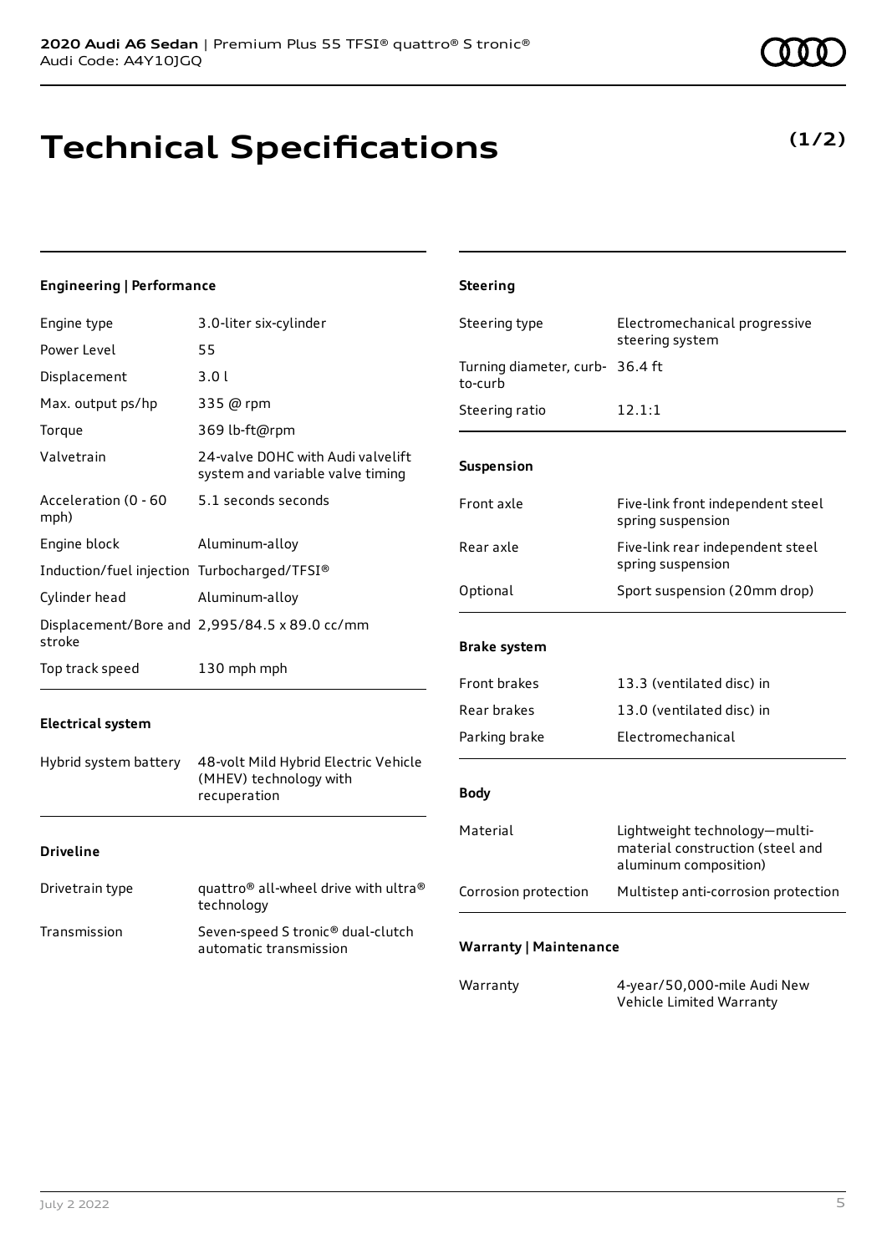# **Technical Specifications**

#### **Engineering | Performance**

| Engine type                                 | 3.0-liter six-cylinder                                                | Steering type                              | Electromechanical progressive                                                              |
|---------------------------------------------|-----------------------------------------------------------------------|--------------------------------------------|--------------------------------------------------------------------------------------------|
| Power Level                                 | 55                                                                    |                                            | steering system                                                                            |
| Displacement                                | 3.01                                                                  | Turning diameter, curb- 36.4 ft<br>to-curb |                                                                                            |
| Max. output ps/hp                           | 335 @ rpm                                                             | Steering ratio                             | 12.1:1                                                                                     |
| Torque                                      | 369 lb-ft@rpm                                                         |                                            |                                                                                            |
| Valvetrain                                  | 24-valve DOHC with Audi valvelift<br>system and variable valve timing | Suspension                                 |                                                                                            |
| Acceleration (0 - 60<br>mph)                | 5.1 seconds seconds                                                   | Front axle                                 | Five-link front independent steel<br>spring suspension                                     |
| Engine block                                | Aluminum-alloy                                                        | Rear axle                                  | Five-link rear independent steel                                                           |
| Induction/fuel injection Turbocharged/TFSI® |                                                                       |                                            | spring suspension                                                                          |
| Cylinder head                               | Aluminum-alloy                                                        | Optional                                   | Sport suspension (20mm drop)                                                               |
|                                             | Displacement/Bore and 2,995/84.5 x 89.0 cc/mm                         |                                            |                                                                                            |
| stroke                                      |                                                                       | <b>Brake system</b>                        |                                                                                            |
| Top track speed                             | 130 mph mph                                                           | Front brakes                               | 13.3 (ventilated disc) in                                                                  |
|                                             |                                                                       | Rear brakes                                | 13.0 (ventilated disc) in                                                                  |
| <b>Electrical system</b>                    |                                                                       | Parking brake                              | Electromechanical                                                                          |
| Hybrid system battery                       | 48-volt Mild Hybrid Electric Vehicle                                  |                                            |                                                                                            |
|                                             | (MHEV) technology with<br>recuperation                                | <b>Body</b>                                |                                                                                            |
| <b>Driveline</b>                            |                                                                       | Material                                   | Lightweight technology-multi-<br>material construction (steel and<br>aluminum composition) |
| Drivetrain type                             | quattro® all-wheel drive with ultra®<br>technology                    | Corrosion protection                       | Multistep anti-corrosion protection                                                        |
| Transmission                                | Seven-speed S tronic® dual-clutch<br>automatic transmission           | <b>Warranty   Maintenance</b>              |                                                                                            |
|                                             |                                                                       | Warranty                                   | 4-year/50,000-mile Audi New<br>Vehicle Limited Warranty                                    |

**Steering**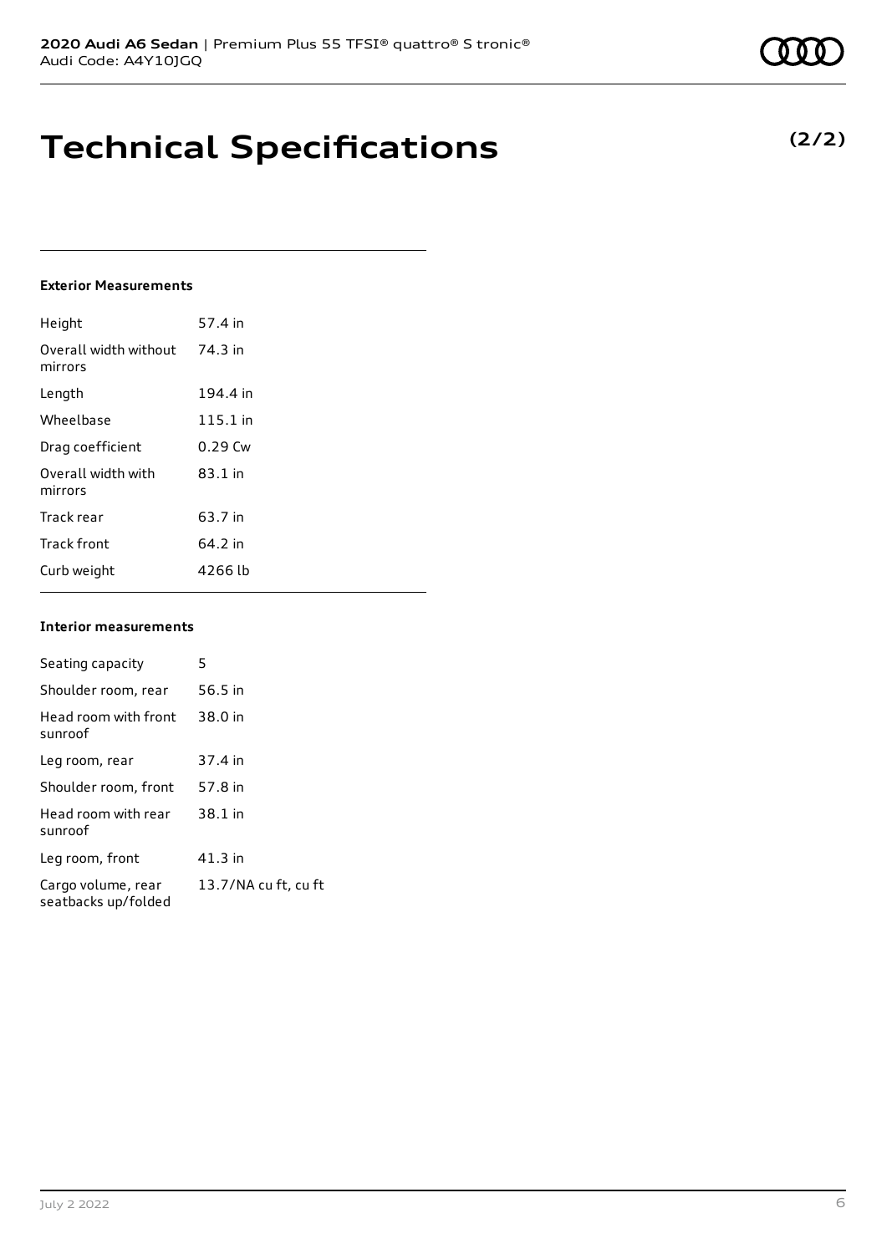**Technical Specifications**

#### **Exterior Measurements**

| Height                           | 57.4 in    |
|----------------------------------|------------|
| Overall width without<br>mirrors | 74.3 in    |
| Length                           | 194.4 in   |
| Wheelbase                        | $115.1$ in |
| Drag coefficient                 | $0.29$ Cw  |
| Overall width with<br>mirrors    | $83.1$ in  |
| Track rear                       | 63.7 in    |
| <b>Track front</b>               | 64.2 in    |
| Curb weight                      | 4266 lb    |

#### **Interior measurements**

| Seating capacity                          | 5                    |
|-------------------------------------------|----------------------|
|                                           |                      |
| Shoulder room, rear                       | 56.5 in              |
| Head room with front<br>sunroof           | 38.0 in              |
| Leg room, rear                            | 37.4 in              |
| Shoulder room, front                      | 57.8 in              |
| Head room with rear<br>sunroof            | 38.1 in              |
| Leg room, front                           | 41.3 in              |
| Cargo volume, rear<br>seatbacks up/folded | 13.7/NA cu ft, cu ft |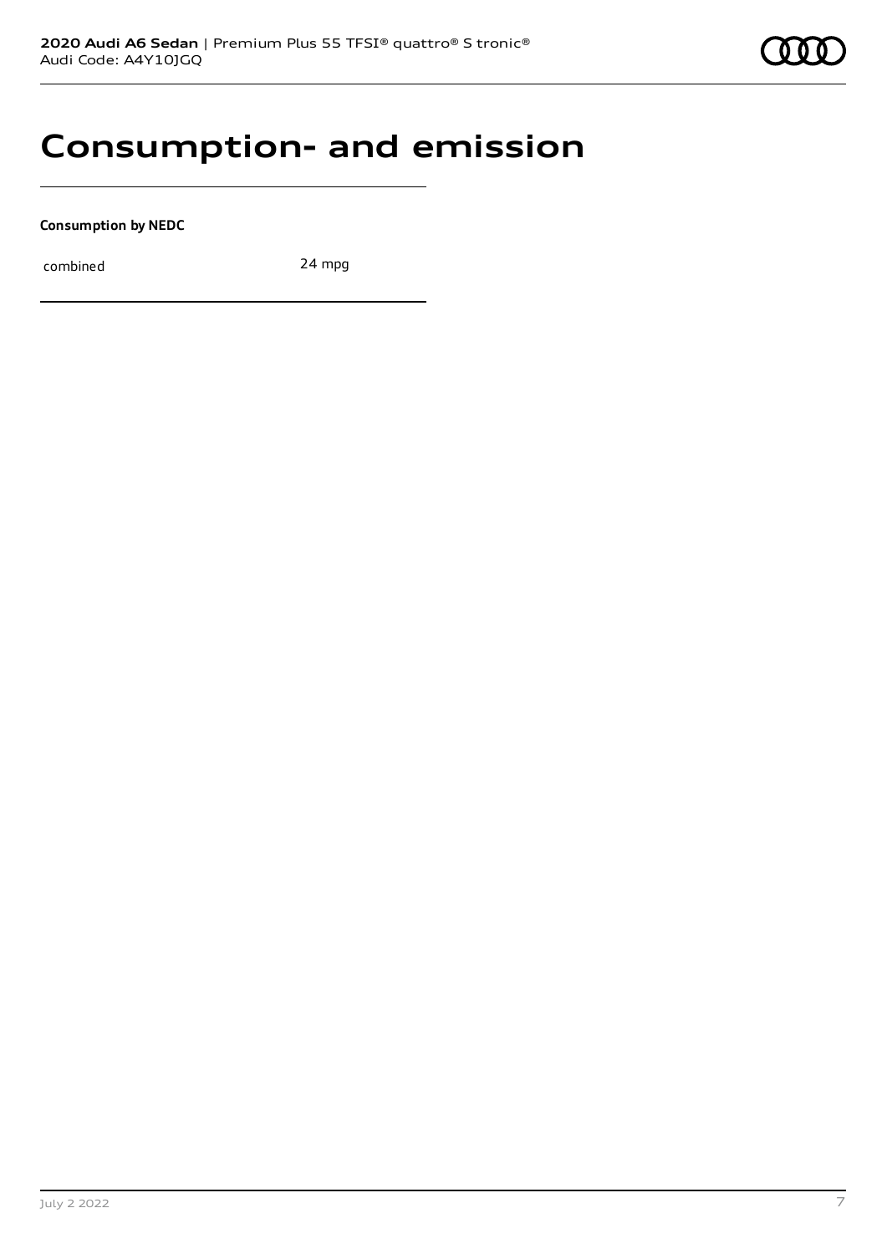### **Consumption- and emission**

**Consumption by NEDC**

combined 24 mpg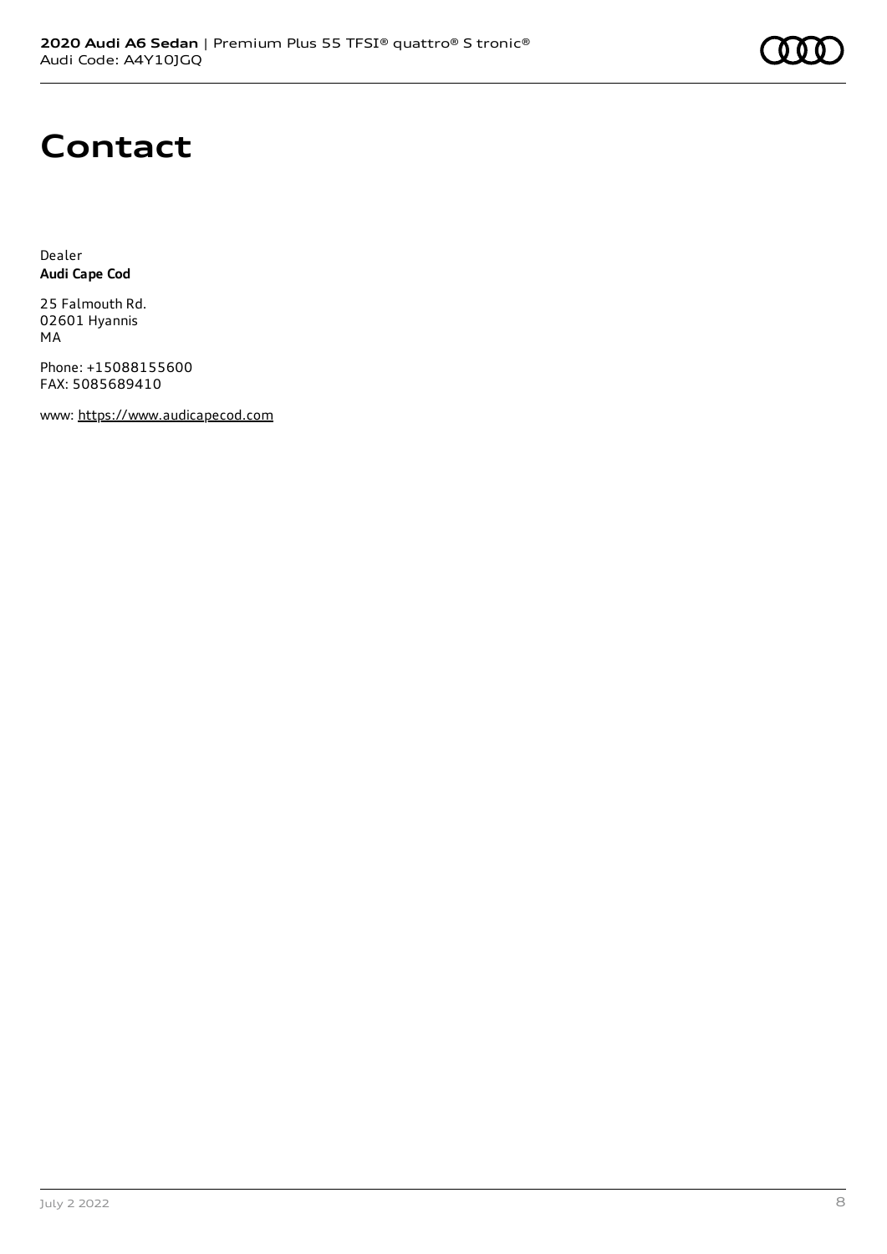### **Contact**

Dealer **Audi Cape Cod**

25 Falmouth Rd. 02601 Hyannis MA

Phone: +15088155600 FAX: 5085689410

www: [https://www.audicapecod.com](https://www.audicapecod.com/)